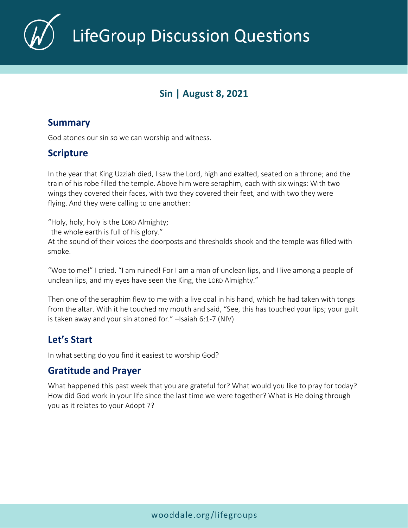

LifeGroup Discussion Questions

# **Sin | August 8, 2021**

#### **Summary**

God atones our sin so we can worship and witness.

# **Scripture**

In the year that King Uzziah died, I saw the Lord, high and exalted, seated on a throne; and the train of his robe filled the temple. Above him were seraphim, each with six wings: With two wings they covered their faces, with two they covered their feet, and with two they were flying. And they were calling to one another:

"Holy, holy, holy is the LORD Almighty;

the whole earth is full of his glory."

At the sound of their voices the doorposts and thresholds shook and the temple was filled with smoke.

"Woe to me!" I cried. "I am ruined! For I am a man of unclean lips, and I live among a people of unclean lips, and my eyes have seen the King, the LORD Almighty."

Then one of the seraphim flew to me with a live coal in his hand, which he had taken with tongs from the altar. With it he touched my mouth and said, "See, this has touched your lips; your guilt is taken away and your sin atoned for." –Isaiah 6:1-7 (NIV)

# **Let's Start**

In what setting do you find it easiest to worship God?

## **Gratitude and Prayer**

What happened this past week that you are grateful for? What would you like to pray for today? How did God work in your life since the last time we were together? What is He doing through you as it relates to your Adopt 7?